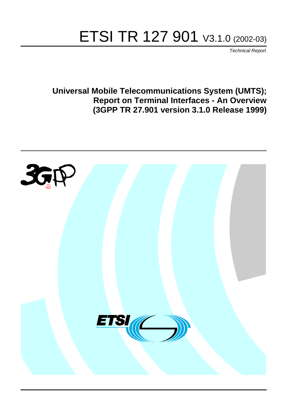# ETSI TR 127 901 V3.1.0 (2002-03)

Technical Report

**Universal Mobile Telecommunications System (UMTS); Report on Terminal Interfaces - An Overview (3GPP TR 27.901 version 3.1.0 Release 1999)**

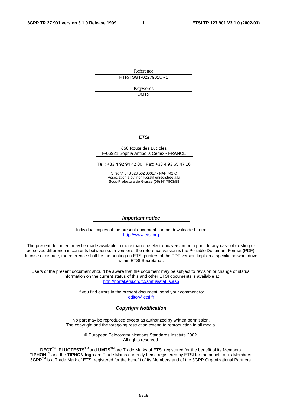Reference RTR/TSGT-0227901UR1

> Keywords UMTS

#### **ETSI**

#### 650 Route des Lucioles F-06921 Sophia Antipolis Cedex - FRANCE

Tel.: +33 4 92 94 42 00 Fax: +33 4 93 65 47 16

Siret N° 348 623 562 00017 - NAF 742 C Association à but non lucratif enregistrée à la Sous-Préfecture de Grasse (06) N° 7803/88

#### **Important notice**

Individual copies of the present document can be downloaded from: [http://www.etsi.org](http://www.etsi.org/)

The present document may be made available in more than one electronic version or in print. In any case of existing or perceived difference in contents between such versions, the reference version is the Portable Document Format (PDF). In case of dispute, the reference shall be the printing on ETSI printers of the PDF version kept on a specific network drive within ETSI Secretariat.

Users of the present document should be aware that the document may be subject to revision or change of status. Information on the current status of this and other ETSI documents is available at <http://portal.etsi.org/tb/status/status.asp>

> If you find errors in the present document, send your comment to: [editor@etsi.fr](mailto:editor@etsi.fr)

#### **Copyright Notification**

No part may be reproduced except as authorized by written permission. The copyright and the foregoing restriction extend to reproduction in all media.

> © European Telecommunications Standards Institute 2002. All rights reserved.

**DECT**TM, **PLUGTESTS**TM and **UMTS**TM are Trade Marks of ETSI registered for the benefit of its Members. **TIPHON**TM and the **TIPHON logo** are Trade Marks currently being registered by ETSI for the benefit of its Members. **3GPP**TM is a Trade Mark of ETSI registered for the benefit of its Members and of the 3GPP Organizational Partners.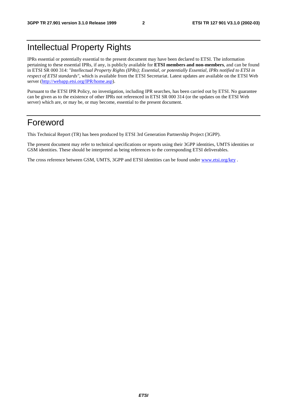### Intellectual Property Rights

IPRs essential or potentially essential to the present document may have been declared to ETSI. The information pertaining to these essential IPRs, if any, is publicly available for **ETSI members and non-members**, and can be found in ETSI SR 000 314: *"Intellectual Property Rights (IPRs); Essential, or potentially Essential, IPRs notified to ETSI in respect of ETSI standards"*, which is available from the ETSI Secretariat. Latest updates are available on the ETSI Web server ([http://webapp.etsi.org/IPR/home.asp\)](http://webapp.etsi.org/IPR/home.asp).

Pursuant to the ETSI IPR Policy, no investigation, including IPR searches, has been carried out by ETSI. No guarantee can be given as to the existence of other IPRs not referenced in ETSI SR 000 314 (or the updates on the ETSI Web server) which are, or may be, or may become, essential to the present document.

### Foreword

This Technical Report (TR) has been produced by ETSI 3rd Generation Partnership Project (3GPP).

The present document may refer to technical specifications or reports using their 3GPP identities, UMTS identities or GSM identities. These should be interpreted as being references to the corresponding ETSI deliverables.

The cross reference between GSM, UMTS, 3GPP and ETSI identities can be found under [www.etsi.org/key](http://www.etsi.org/key) .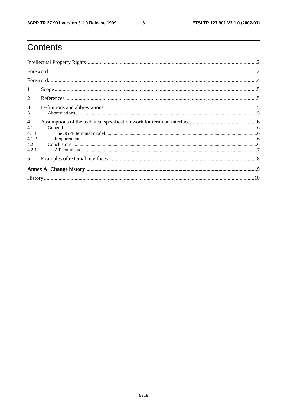$\mathbf{3}$ 

# Contents

| 1                                                       |  |  |  |  |  |
|---------------------------------------------------------|--|--|--|--|--|
| 2                                                       |  |  |  |  |  |
| $\mathfrak{Z}$<br>3.1                                   |  |  |  |  |  |
| $\overline{4}$<br>4.1<br>4.1.1<br>4.1.2<br>4.2<br>4.2.1 |  |  |  |  |  |
| $\overline{\mathbf{5}}$                                 |  |  |  |  |  |
|                                                         |  |  |  |  |  |
|                                                         |  |  |  |  |  |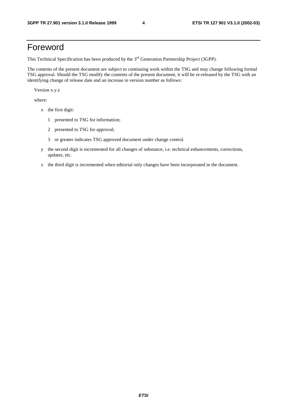### Foreword

This Technical Specification has been produced by the 3<sup>rd</sup> Generation Partnership Project (3GPP).

The contents of the present document are subject to continuing work within the TSG and may change following formal TSG approval. Should the TSG modify the contents of the present document, it will be re-released by the TSG with an identifying change of release date and an increase in version number as follows:

Version x.y.z

where:

- x the first digit:
	- 1 presented to TSG for information;
	- 2 presented to TSG for approval;
	- 3 or greater indicates TSG approved document under change control.
- y the second digit is incremented for all changes of substance, i.e. technical enhancements, corrections, updates, etc.
- z the third digit is incremented when editorial only changes have been incorporated in the document.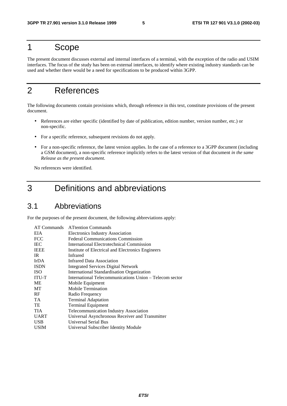### 1 Scope

The present document discusses external and internal interfaces of a terminal, with the exception of the radio and USIM interfaces. The focus of the study has been on external interfaces, to identify where existing industry standards can be used and whether there would be a need for specifications to be produced within 3GPP.

## 2 References

The following documents contain provisions which, through reference in this text, constitute provisions of the present document.

- References are either specific (identified by date of publication, edition number, version number, etc.) or non-specific.
- For a specific reference, subsequent revisions do not apply.
- For a non-specific reference, the latest version applies. In the case of a reference to a 3GPP document (including a GSM document), a non-specific reference implicitly refers to the latest version of that document *in the same Release as the present document*.

No references were identified.

### 3 Definitions and abbreviations

### 3.1 Abbreviations

For the purposes of the present document, the following abbreviations apply:

| AT Commands  | <b>ATtention Commands</b>                               |
|--------------|---------------------------------------------------------|
| EIA          | Electronics Industry Association                        |
| <b>FCC</b>   | <b>Federal Communications Commission</b>                |
| <b>IEC</b>   | International Electrotechnical Commission               |
| <b>IEEE</b>  | Institute of Electrical and Electronics Engineers       |
| IR.          | Infrared                                                |
| <b>IrDA</b>  | <b>Infrared Data Association</b>                        |
| <b>ISDN</b>  | <b>Integrated Services Digital Network</b>              |
| <b>ISO</b>   | <b>International Standardisation Organization</b>       |
| <b>ITU-T</b> | International Telecommunications Union – Telecom sector |
| МE           | Mobile Equipment                                        |
| МT           | Mobile Termination                                      |
| RF           | Radio Frequency                                         |
| TA           | <b>Terminal Adaptation</b>                              |
| TE           | <b>Terminal Equipment</b>                               |
| <b>TIA</b>   | Telecommunication Industry Association                  |
| <b>UART</b>  | Universal Asynchronous Receiver and Transmitter         |
| <b>USB</b>   | Universal Serial Bus                                    |
| <b>USIM</b>  | Universal Subscriber Identity Module                    |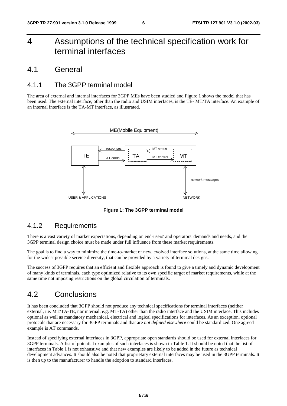### 4 Assumptions of the technical specification work for terminal interfaces

### 4.1 General

### 4.1.1 The 3GPP terminal model

The area of external and internal interfaces for 3GPP MEs have been studied and Figure 1 shows the model that has been used. The external interface, other than the radio and USIM interfaces, is the TE- MT/TA interface. An example of an internal interface is the TA-MT interface, as illustrated.



**Figure 1: The 3GPP terminal model**

#### 4.1.2 Requirements

There is a vast variety of market expectations, depending on end-users' and operators' demands and needs, and the 3GPP terminal design choice must be made under full influence from these market requirements.

The goal is to find a way to minimize the time-to-market of new, evolved interface solutions, at the same time allowing for the widest possible service diversity, that can be provided by a variety of terminal designs.

The success of 3GPP requires that an efficient and flexible approach is found to give a timely and dynamic development of many kinds of terminals, each type optimized relative to its own specific target of market requirements, while at the same time not imposing restrictions on the global circulation of terminals.

### 4.2 Conclusions

It has been concluded that 3GPP should not produce any technical specifications for terminal interfaces (neither external, i.e. MT/TA-TE, nor internal, e.g. MT-TA) other than the radio interface and the USIM interface. This includes optional as well as mandatory mechanical, electrical and logical specifications for interfaces. As an exception, optional protocols that are necessary for 3GPP terminals and that are *not defined elsewhere* could be standardized. One agreed example is AT commands.

Instead of specifying external interfaces in 3GPP, appropriate open standards should be used for external interfaces for 3GPP terminals. A list of potential examples of such interfaces is shown in Table 1. It should be noted that the list of interfaces in Table 1 is not exhaustive and that new examples are likely to be added in the future as technical development advances. It should also be noted that proprietary external interfaces may be used in the 3GPP terminals. It is then up to the manufacturer to handle the adoption to standard interfaces.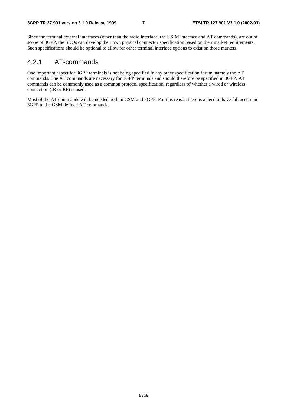Since the terminal external interfaces (other than the radio interface, the USIM interface and AT commands), are out of scope of 3GPP, the SDOs can develop their own physical connector specification based on their market requirements. Such specifications should be optional to allow for other terminal interface options to exist on those markets.

### 4.2.1 AT-commands

One important aspect for 3GPP terminals is not being specified in any other specification forum, namely the AT commands. The AT commands are necessary for 3GPP terminals and should therefore be specified in 3GPP. AT commands can be commonly used as a common protocol specification, regardless of whether a wired or wireless connection (IR or RF) is used.

Most of the AT commands will be needed both in GSM and 3GPP. For this reason there is a need to have full access in 3GPP to the GSM defined AT commands.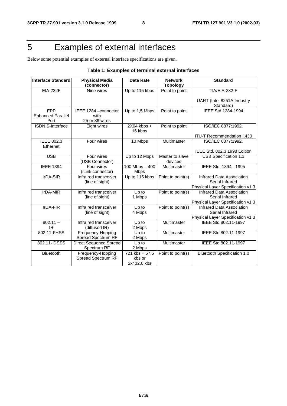# 5 Examples of external interfaces

Below some potential examples of external interface specifications are given.

| <b>Interface Standard</b>               | <b>Physical Media</b><br>(connector)            | <b>Data Rate</b>                        | <b>Network</b><br><b>Topology</b> | <b>Standard</b>                                                                   |
|-----------------------------------------|-------------------------------------------------|-----------------------------------------|-----------------------------------|-----------------------------------------------------------------------------------|
| <b>EIA-232F</b>                         | Nine wires                                      | Up to 115 kbps                          | Point to point                    | TIA/EIA-232-F                                                                     |
|                                         |                                                 |                                         |                                   | UART (Intel 8251A Industry<br>Standard)                                           |
| EPP<br><b>Enhanced Parallel</b><br>Port | IEEE 1284 - connector<br>with<br>25 or 36 wires | Up to 1,5 Mbps                          | Point to point                    | IEEE Std 1284-1994                                                                |
| <b>ISDN S-Interface</b>                 | Eight wires                                     | 2X64 kbps +<br>16 kbps                  | Point to point                    | ISO/IEC 8877:1992.                                                                |
|                                         |                                                 |                                         |                                   | ITU-T Recommendation I.430                                                        |
| IEEE 802.3<br>Ethernet                  | Four wires                                      | 10 Mbps                                 | Multimaster                       | ISO/IEC 8877:1992.                                                                |
|                                         |                                                 |                                         |                                   | IEEE Std. 802.3 1998 Edition                                                      |
| <b>USB</b>                              | Four wires<br>(USB Connector)                   | Up to 12 Mbps                           | Master to slave<br>devices        | <b>USB Specification 1.1</b>                                                      |
| <b>IEEE 1394</b>                        | Four wires<br>(iLink connector)                 | $100$ Mbps $-400$<br><b>Mbps</b>        | Multimaster                       | IEEE Std. 1394 - 1995                                                             |
| IrDA-SIR                                | Infra red transceiver<br>(line of sight)        | Up to 115 kbps                          | Point to point(s)                 | Infrared Data Association<br>Serial Infrared<br>Physical Layer Specification v1.3 |
| IrDA-MIR                                | Infra red transceiver<br>(line of sight)        | Up to<br>1 Mbps                         | Point to point(s)                 | Infrared Data Association<br>Serial Infrared<br>Physical Layer Specification v1.3 |
| IrDA-FIR                                | Infra red transceiver<br>(line of sight)        | Up to<br>4 Mbps                         | Point to point(s)                 | Infrared Data Association<br>Serial Infrared<br>Physical Layer Specification v1.3 |
| $802.11 -$<br>IR                        | Infra red transceiver<br>(diffused IR)          | Up to<br>2 Mbps                         | Multimaster                       | IEEE Std 802.11-1997                                                              |
| 802.11-FHSS                             | Frequency-Hopping<br>Spread Spectrum RF         | Up to<br>2 Mbps                         | Multimaster                       | IEEE Std 802.11-1997                                                              |
| 802.11-DSSS                             | <b>Direct Sequence Spread</b><br>Spectrum RF    | Up to<br>2 Mbps                         | Multimaster                       | IEEE Std 802.11-1997                                                              |
| Bluetooth                               | Frequency-Hopping<br><b>Spread Spectrum RF</b>  | 721 kbs + 57,6<br>kbs or<br>2x432.6 kbs | Point to point(s)                 | <b>Bluetooth Specification 1.0</b>                                                |

#### **Table 1: Examples of terminal external interfaces**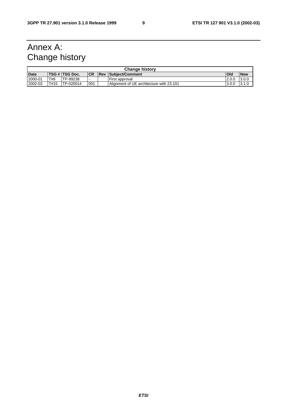# Annex A: Change history

| <b>Change history</b> |      |                |           |  |                                          |        |            |
|-----------------------|------|----------------|-----------|--|------------------------------------------|--------|------------|
| <b>Date</b>           |      | TSG # TSG Doc. | <b>CR</b> |  | <b>Rev Subiect/Comment</b>               | Old    | <b>New</b> |
| 2000-01               | T#6  | TP-99238       | . .       |  | First approval                           | 12.0.0 | 13.0.0     |
| 2002-03               | T#15 | TP-020014      | 001       |  | Alignment of UE architecture with 23.101 | 3.0.0  | 13.1.0     |